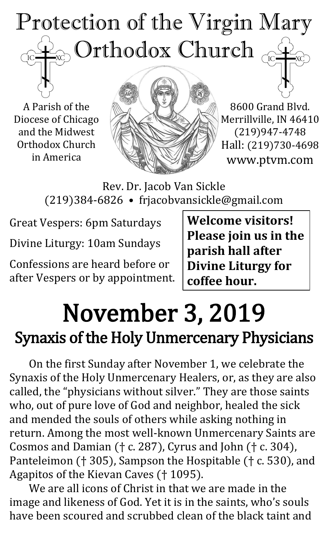# Protection of the Virgin Mary  $_{\odot}$ Orthodox Church  $_{\odot \rm C}$  $\overline{C}$

A Parish of the Diocese of Chicago and the Midwest Orthodox Church in America



8600 Grand Blvd. Merrillville, IN 46410 (219)947-4748 Hall: (219)730-4698 www.ptvm.com

Rev. Dr. Jacob Van Sickle (219)384-6826 • frjacobvansickle@gmail.com

Great Vespers: 6pm Saturdays Divine Liturgy: 10am Sundays

Confessions are heard before or after Vespers or by appointment. **Welcome visitors! Please join us in the parish hall after Divine Liturgy for coffee hour.**

# November 3, 2019 Synaxis of the Holy Unmercenary Physicians

On the first Sunday after November 1, we celebrate the Synaxis of the Holy Unmercenary Healers, or, as they are also called, the "physicians without silver." They are those saints who, out of pure love of God and neighbor, healed the sick and mended the souls of others while asking nothing in return. Among the most well-known Unmercenary Saints are Cosmos and Damian († c. 287), Cyrus and John († c. 304), Panteleimon († 305), Sampson the Hospitable († c. 530), and Agapitos of the Kievan Caves († 1095).

We are all icons of Christ in that we are made in the image and likeness of God. Yet it is in the saints, who's souls have been scoured and scrubbed clean of the black taint and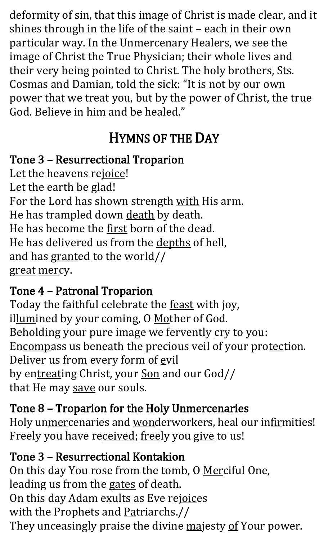deformity of sin, that this image of Christ is made clear, and it shines through in the life of the saint – each in their own particular way. In the Unmercenary Healers, we see the image of Christ the True Physician; their whole lives and their very being pointed to Christ. The holy brothers, Sts. Cosmas and Damian, told the sick: "It is not by our own power that we treat you, but by the power of Christ, the true God. Believe in him and be healed."

## HYMNS OF THE DAY

#### Tone 3 – Resurrectional Troparion

Let the heavens rejoice! Let the earth be glad! For the Lord has shown strength with His arm. He has trampled down death by death. He has become the first born of the dead. He has delivered us from the depths of hell, and has granted to the world// great mercy.

#### Tone 4 – Patronal Troparion

Today the faithful celebrate the feast with joy, illumined by your coming, O Mother of God. Beholding your pure image we fervently cry to you: Encompass us beneath the precious veil of your protection. Deliver us from every form of evil by entreating Christ, your Son and our God// that He may save our souls.

#### Tone 8 – Troparion for the Holy Unmercenaries Holy unmercenaries and wonderworkers, heal our infirmities! Freely you have received; freely you give to us!

#### Tone 3 – Resurrectional Kontakion On this day You rose from the tomb, O Merciful One, leading us from the gates of death. On this day Adam exults as Eve rejoices with the Prophets and Patriarchs.// They unceasingly praise the divine majesty of Your power.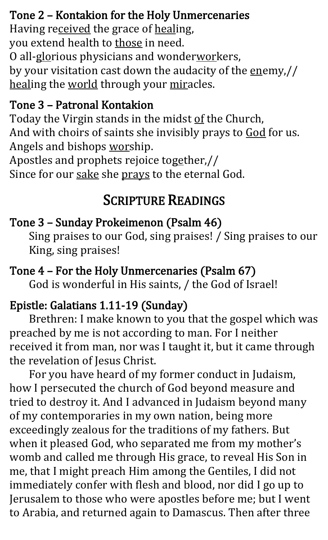#### Tone 2 – Kontakion for the Holy Unmercenaries

Having received the grace of healing, you extend health to those in need. O all-glorious physicians and wonderworkers, by your visitation cast down the audacity of the enemy,// healing the world through your miracles.

#### Tone 3 – Patronal Kontakion

Today the Virgin stands in the midst of the Church, And with choirs of saints she invisibly prays to God for us. Angels and bishops worship.

Apostles and prophets rejoice together,// Since for our sake she prays to the eternal God.

## SCRIPTURE READINGS

#### Tone 3 – Sunday Prokeimenon (Psalm 46)

Sing praises to our God, sing praises! / Sing praises to our King, sing praises!

#### Tone 4 – For the Holy Unmercenaries (Psalm 67)

God is wonderful in His saints, / the God of Israel!

#### Epistle: Galatians 1.11-19 (Sunday)

Brethren: I make known to you that the gospel which was preached by me is not according to man. For I neither received it from man, nor was I taught it, but it came through the revelation of Jesus Christ.

For you have heard of my former conduct in Judaism, how I persecuted the church of God beyond measure and tried to destroy it. And I advanced in Judaism beyond many of my contemporaries in my own nation, being more exceedingly zealous for the traditions of my fathers. But when it pleased God, who separated me from my mother's womb and called me through His grace, to reveal His Son in me, that I might preach Him among the Gentiles, I did not immediately confer with flesh and blood, nor did I go up to Jerusalem to those who were apostles before me; but I went to Arabia, and returned again to Damascus. Then after three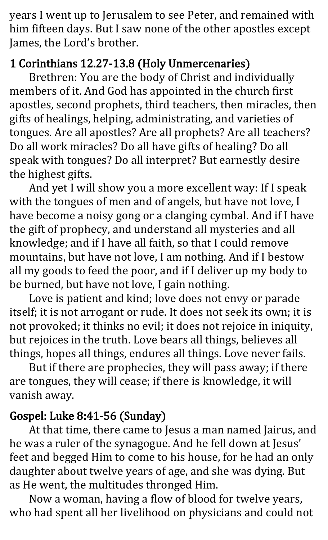years I went up to Jerusalem to see Peter, and remained with him fifteen days. But I saw none of the other apostles except James, the Lord's brother.

#### 1 Corinthians 12.27-13.8 (Holy Unmercenaries)

Brethren: You are the body of Christ and individually members of it. And God has appointed in the church first apostles, second prophets, third teachers, then miracles, then gifts of healings, helping, administrating, and varieties of tongues. Are all apostles? Are all prophets? Are all teachers? Do all work miracles? Do all have gifts of healing? Do all speak with tongues? Do all interpret? But earnestly desire the highest gifts.

And yet I will show you a more excellent way: If I speak with the tongues of men and of angels, but have not love, I have become a noisy gong or a clanging cymbal. And if I have the gift of prophecy, and understand all mysteries and all knowledge; and if I have all faith, so that I could remove mountains, but have not love, I am nothing. And if I bestow all my goods to feed the poor, and if I deliver up my body to be burned, but have not love, I gain nothing.

Love is patient and kind; love does not envy or parade itself; it is not arrogant or rude. It does not seek its own; it is not provoked; it thinks no evil; it does not rejoice in iniquity, but rejoices in the truth. Love bears all things, believes all things, hopes all things, endures all things. Love never fails.

But if there are prophecies, they will pass away; if there are tongues, they will cease; if there is knowledge, it will vanish away.

## Gospel: Luke 8:41-56 (Sunday)

At that time, there came to Jesus a man named Jairus, and he was a ruler of the synagogue. And he fell down at Jesus' feet and begged Him to come to his house, for he had an only daughter about twelve years of age, and she was dying. But as He went, the multitudes thronged Him.

Now a woman, having a flow of blood for twelve years, who had spent all her livelihood on physicians and could not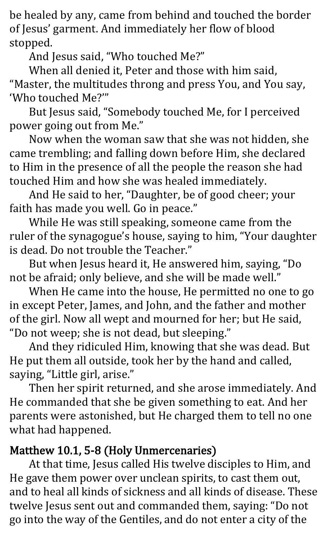be healed by any, came from behind and touched the border of Jesus' garment. And immediately her flow of blood stopped.

And Jesus said, "Who touched Me?"

When all denied it, Peter and those with him said, "Master, the multitudes throng and press You, and You say, 'Who touched Me?'"

But Jesus said, "Somebody touched Me, for I perceived power going out from Me."

Now when the woman saw that she was not hidden, she came trembling; and falling down before Him, she declared to Him in the presence of all the people the reason she had touched Him and how she was healed immediately.

And He said to her, "Daughter, be of good cheer; your faith has made you well. Go in peace."

While He was still speaking, someone came from the ruler of the synagogue's house, saying to him, "Your daughter is dead. Do not trouble the Teacher."

But when Jesus heard it, He answered him, saying, "Do not be afraid; only believe, and she will be made well."

When He came into the house, He permitted no one to go in except Peter, James, and John, and the father and mother of the girl. Now all wept and mourned for her; but He said, "Do not weep; she is not dead, but sleeping."

And they ridiculed Him, knowing that she was dead. But He put them all outside, took her by the hand and called, saying, "Little girl, arise."

Then her spirit returned, and she arose immediately. And He commanded that she be given something to eat. And her parents were astonished, but He charged them to tell no one what had happened.

#### Matthew 10.1, 5-8 (Holy Unmercenaries)

At that time, Jesus called His twelve disciples to Him, and He gave them power over unclean spirits, to cast them out, and to heal all kinds of sickness and all kinds of disease. These twelve Jesus sent out and commanded them, saying: "Do not go into the way of the Gentiles, and do not enter a city of the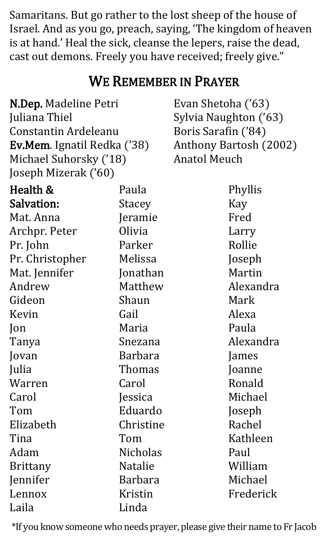Samaritans. But go rather to the lost sheep of the house of Israel. And as you go, preach, saying, 'The kingdom of heaven is at hand.' Heal the sick, cleanse the lepers, raise the dead, cast out demons. Freely you have received; freely give."

## WE REMEMBER IN PRAYER

| N.Dep. Madeline Petri              |                | Evan Shetoha ('63)            |
|------------------------------------|----------------|-------------------------------|
| Juliana Thiel                      |                | Sylvia Naughton ('63)         |
| Constantin Ardeleanu               |                | Boris Sarafin ('84)           |
| <b>Ev.Mem.</b> Ignatil Redka ('38) |                | <b>Anthony Bartosh (2002)</b> |
| Michael Suhorsky ('18)             |                | Anatol Meuch                  |
| Joseph Mizerak ('60)               |                |                               |
| Health &                           | Paula          | Phyllis                       |
| Salvation:                         | <b>Stacey</b>  | Kay                           |
| Mat. Anna                          | Jeramie        | Fred                          |
| Archpr. Peter                      | Olivia         | Larry                         |
| Pr. John                           | Parker         | Rollie                        |
| Pr. Christopher                    | Melissa        | Joseph                        |
| Mat. Jennifer                      | Jonathan       | Martin                        |
| Andrew                             | Matthew        | Alexandra                     |
| Gideon                             | Shaun          | Mark                          |
| Kevin                              | Gail           | Alexa                         |
| $\mathsf{lon}$                     | Maria          | Paula                         |
| Tanya                              | Snezana        | Alexandra                     |
| Jovan                              | Barbara        | James                         |
| Julia                              | Thomas         | Joanne                        |
| Warren                             | Carol          | Ronald                        |
| Carol                              | Jessica        | Michael                       |
| Tom                                | Eduardo        | Joseph                        |
| Elizabeth                          | Christine      | Rachel                        |
| Tina                               | Tom            | Kathleen                      |
| Adam                               | Nicholas       | Paul                          |
| <b>Brittany</b>                    | Natalie        | William                       |
| Jennifer                           | <b>Barbara</b> | Michael                       |
| Lennox                             | Kristin        | Frederick                     |
| Laila                              | Linda          |                               |

\*If you know someone who needs prayer, please give their name to Fr Jacob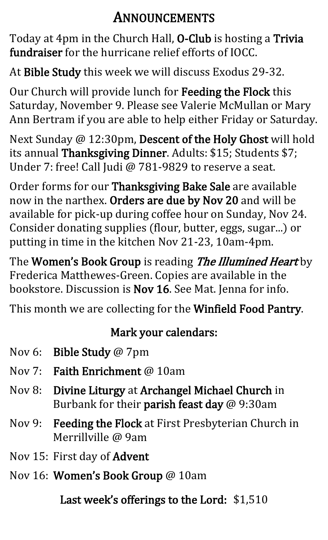## ANNOUNCEMENTS

Today at 4pm in the Church Hall, O-Club is hosting a Trivia fundraiser for the hurricane relief efforts of IOCC.

At Bible Study this week we will discuss Exodus 29-32.

Our Church will provide lunch for Feeding the Flock this Saturday, November 9. Please see Valerie McMullan or Mary Ann Bertram if you are able to help either Friday or Saturday.

Next Sunday @ 12:30pm, Descent of the Holy Ghost will hold its annual Thanksgiving Dinner. Adults: \$15; Students \$7; Under 7: free! Call Judi @ 781-9829 to reserve a seat.

Order forms for our Thanksgiving Bake Sale are available now in the narthex. Orders are due by Nov 20 and will be available for pick-up during coffee hour on Sunday, Nov 24. Consider donating supplies (flour, butter, eggs, sugar...) or putting in time in the kitchen Nov 21-23, 10am-4pm.

The Women's Book Group is reading The Illumined Heart by Frederica Matthewes-Green. Copies are available in the bookstore. Discussion is Nov 16. See Mat. Jenna for info.

This month we are collecting for the Winfield Food Pantry.

#### Mark your calendars:

- Nov 6: Bible Study @ 7pm
- Nov 7: Faith Enrichment @ 10am
- Nov 8: Divine Liturgy at Archangel Michael Church in Burbank for their parish feast day @ 9:30am
- Nov 9: Feeding the Flock at First Presbyterian Church in Merrillville @ 9am
- Nov 15: First day of Advent
- Nov 16: Women's Book Group @ 10am

Last week's offerings to the Lord: \$1,510